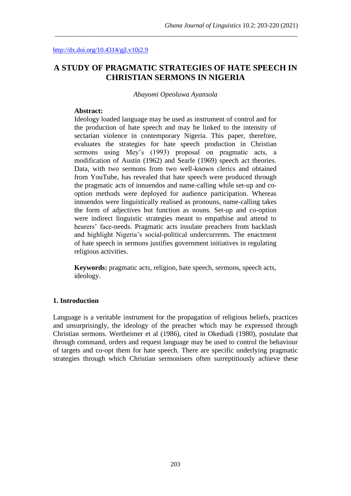# **A STUDY OF PRAGMATIC STRATEGIES OF HATE SPEECH IN CHRISTIAN SERMONS IN NIGERIA**

\_\_\_\_\_\_\_\_\_\_\_\_\_\_\_\_\_\_\_\_\_\_\_\_\_\_\_\_\_\_\_\_\_\_\_\_\_\_\_\_\_\_\_\_\_\_\_\_\_\_\_\_\_\_\_\_\_\_\_\_\_\_\_\_\_\_\_\_\_\_\_\_\_\_\_

*Abayomi Opeoluwa Ayansola*

### **Abstract:**

Ideology loaded language may be used as instrument of control and for the production of hate speech and may be linked to the intensity of sectarian violence in contemporary Nigeria. This paper, therefore, evaluates the strategies for hate speech production in Christian sermons using Mey's (1993) proposal on pragmatic acts, a modification of Austin (1962) and Searle (1969) speech act theories. Data, with two sermons from two well-known clerics and obtained from YouTube, has revealed that hate speech were produced through the pragmatic acts of innuendos and name-calling while set-up and cooption methods were deployed for audience participation. Whereas innuendos were linguistically realised as pronouns, name-calling takes the form of adjectives but function as nouns. Set-up and co-option were indirect linguistic strategies meant to empathise and attend to hearers' face-needs. Pragmatic acts insulate preachers from backlash and highlight Nigeria's social-political undercurrents. The enactment of hate speech in sermons justifies government initiatives in regulating religious activities.

**Keywords:** pragmatic acts, religion, hate speech, sermons, speech acts, ideology.

#### **1. Introduction**

Language is a veritable instrument for the propagation of religious beliefs, practices and unsurprisingly, the ideology of the preacher which may be expressed through Christian sermons. Wertheimer et al (1986), cited in Okediadi (1980), postulate that through command, orders and request language may be used to control the behaviour of targets and co-opt them for hate speech. There are specific underlying pragmatic strategies through which Christian sermonisers often surreptitiously achieve these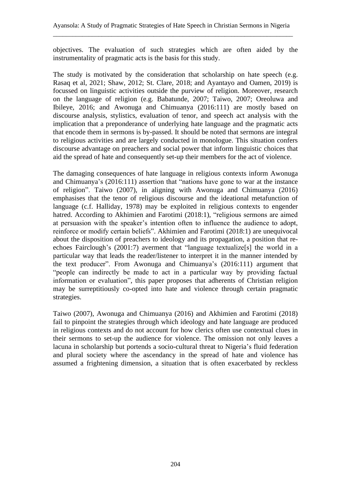objectives. The evaluation of such strategies which are often aided by the instrumentality of pragmatic acts is the basis for this study.

The study is motivated by the consideration that scholarship on hate speech (e.g. Rasaq et al, 2021; Shaw, 2012; St. Clare, 2018; and Ayantayo and Oamen, 2019) is focussed on linguistic activities outside the purview of religion. Moreover, research on the language of religion (e.g. Babatunde, 2007; Taiwo, 2007; Oreoluwa and Ibileye, 2016; and Awonuga and Chimuanya (2016:111) are mostly based on discourse analysis, stylistics, evaluation of tenor, and speech act analysis with the implication that a preponderance of underlying hate language and the pragmatic acts that encode them in sermons is by-passed. It should be noted that sermons are integral to religious activities and are largely conducted in monologue. This situation confers discourse advantage on preachers and social power that inform linguistic choices that aid the spread of hate and consequently set-up their members for the act of violence.

The damaging consequences of hate language in religious contexts inform Awonuga and Chimuanya's (2016:111) assertion that "nations have gone to war at the instance of religion". Taiwo (2007), in aligning with Awonuga and Chimuanya (2016) emphasises that the tenor of religious discourse and the ideational metafunction of language (c.f. Halliday, 1978) may be exploited in religious contexts to engender hatred. According to Akhimien and Farotimi (2018:1), "religious sermons are aimed at persuasion with the speaker's intention often to influence the audience to adopt, reinforce or modify certain beliefs". Akhimien and Farotimi (2018:1) are unequivocal about the disposition of preachers to ideology and its propagation, a position that reechoes Fairclough's (2001:7) averment that "language textualize[s] the world in a particular way that leads the reader/listener to interpret it in the manner intended by the text producer". From Awonuga and Chimuanya's (2016:111) argument that "people can indirectly be made to act in a particular way by providing factual information or evaluation", this paper proposes that adherents of Christian religion may be surreptitiously co-opted into hate and violence through certain pragmatic strategies.

Taiwo (2007), Awonuga and Chimuanya (2016) and Akhimien and Farotimi (2018) fail to pinpoint the strategies through which ideology and hate language are produced in religious contexts and do not account for how clerics often use contextual clues in their sermons to set-up the audience for violence. The omission not only leaves a lacuna in scholarship but portends a socio-cultural threat to Nigeria's fluid federation and plural society where the ascendancy in the spread of hate and violence has assumed a frightening dimension, a situation that is often exacerbated by reckless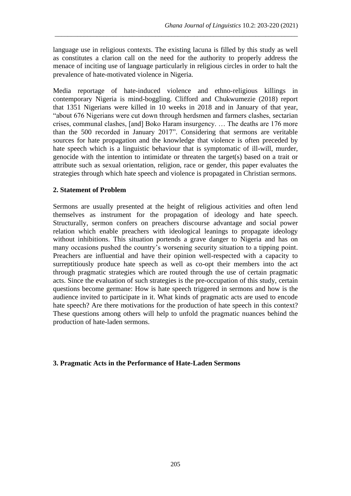language use in religious contexts. The existing lacuna is filled by this study as well as constitutes a clarion call on the need for the authority to properly address the menace of inciting use of language particularly in religious circles in order to halt the prevalence of hate-motivated violence in Nigeria.

\_\_\_\_\_\_\_\_\_\_\_\_\_\_\_\_\_\_\_\_\_\_\_\_\_\_\_\_\_\_\_\_\_\_\_\_\_\_\_\_\_\_\_\_\_\_\_\_\_\_\_\_\_\_\_\_\_\_\_\_\_\_\_\_\_\_\_\_\_\_\_\_\_\_\_

Media reportage of hate-induced violence and ethno-religious killings in contemporary Nigeria is mind-boggling. Clifford and Chukwumezie (2018) report that 1351 Nigerians were killed in 10 weeks in 2018 and in January of that year, "about 676 Nigerians were cut down through herdsmen and farmers clashes, sectarian crises, communal clashes, [and] Boko Haram insurgency. … The deaths are 176 more than the 500 recorded in January 2017". Considering that sermons are veritable sources for hate propagation and the knowledge that violence is often preceded by hate speech which is a linguistic behaviour that is symptomatic of ill-will, murder, genocide with the intention to intimidate or threaten the target(s) based on a trait or attribute such as sexual orientation, religion, race or gender, this paper evaluates the strategies through which hate speech and violence is propagated in Christian sermons.

## **2. Statement of Problem**

Sermons are usually presented at the height of religious activities and often lend themselves as instrument for the propagation of ideology and hate speech. Structurally, sermon confers on preachers discourse advantage and social power relation which enable preachers with ideological leanings to propagate ideology without inhibitions. This situation portends a grave danger to Nigeria and has on many occasions pushed the country's worsening security situation to a tipping point. Preachers are influential and have their opinion well-respected with a capacity to surreptitiously produce hate speech as well as co-opt their members into the act through pragmatic strategies which are routed through the use of certain pragmatic acts. Since the evaluation of such strategies is the pre-occupation of this study, certain questions become germane: How is hate speech triggered in sermons and how is the audience invited to participate in it. What kinds of pragmatic acts are used to encode hate speech? Are there motivations for the production of hate speech in this context? These questions among others will help to unfold the pragmatic nuances behind the production of hate-laden sermons.

## **3. Pragmatic Acts in the Performance of Hate-Laden Sermons**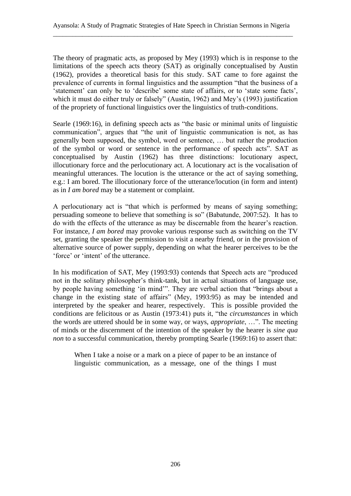The theory of pragmatic acts, as proposed by Mey (1993) which is in response to the limitations of the speech acts theory (SAT) as originally conceptualised by Austin (1962), provides a theoretical basis for this study. SAT came to fore against the prevalence of currents in formal linguistics and the assumption "that the business of a 'statement' can only be to 'describe' some state of affairs, or to 'state some facts', which it must do either truly or falsely" (Austin, 1962) and Mey's (1993) justification of the propriety of functional linguistics over the linguistics of truth-conditions.

Searle (1969:16), in defining speech acts as "the basic or minimal units of linguistic communication", argues that "the unit of linguistic communication is not, as has generally been supposed, the symbol, word or sentence, … but rather the production of the symbol or word or sentence in the performance of speech acts". SAT as conceptualised by Austin (1962) has three distinctions: locutionary aspect, illocutionary force and the perlocutionary act. A locutionary act is the vocalisation of meaningful utterances. The locution is the utterance or the act of saying something, e.g.: I am bored. The illocutionary force of the utterance/locution (in form and intent) as in *I am bored* may be a statement or complaint.

A perlocutionary act is "that which is performed by means of saying something; persuading someone to believe that something is so" (Babatunde, 2007:52). It has to do with the effects of the utterance as may be discernable from the hearer's reaction. For instance, *I am bored* may provoke various response such as switching on the TV set, granting the speaker the permission to visit a nearby friend, or in the provision of alternative source of power supply, depending on what the hearer perceives to be the 'force' or 'intent' of the utterance.

In his modification of SAT, Mey (1993:93) contends that Speech acts are "produced not in the solitary philosopher's think-tank, but in actual situations of language use, by people having something 'in mind'". They are verbal action that "brings about a change in the existing state of affairs" (Mey, 1993:95) as may be intended and interpreted by the speaker and hearer, respectively. This is possible provided the conditions are felicitous or as Austin (1973:41) puts it, "the *circumstances* in which the words are uttered should be in some way, or ways, *appropriate*, …". The meeting of minds or the discernment of the intention of the speaker by the hearer is *sine qua non* to a successful communication, thereby prompting Searle (1969:16) to assert that:

When I take a noise or a mark on a piece of paper to be an instance of linguistic communication, as a message, one of the things I must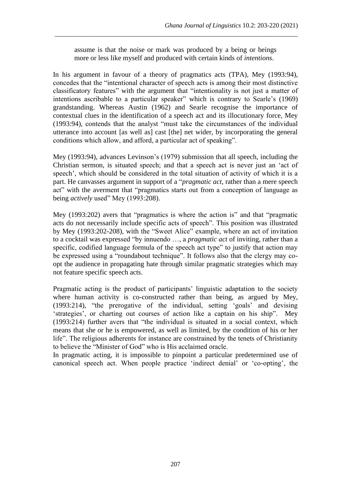assume is that the noise or mark was produced by a being or beings more or less like myself and produced with certain kinds of *intentions*.

\_\_\_\_\_\_\_\_\_\_\_\_\_\_\_\_\_\_\_\_\_\_\_\_\_\_\_\_\_\_\_\_\_\_\_\_\_\_\_\_\_\_\_\_\_\_\_\_\_\_\_\_\_\_\_\_\_\_\_\_\_\_\_\_\_\_\_\_\_\_\_\_\_\_\_

In his argument in favour of a theory of pragmatics acts (TPA), Mey (1993:94), concedes that the "intentional character of speech acts is among their most distinctive classificatory features" with the argument that "intentionality is not just a matter of intentions ascribable to a particular speaker" which is contrary to Searle's (1969) grandstanding. Whereas Austin (1962) and Searle recognise the importance of contextual clues in the identification of a speech act and its illocutionary force, Mey (1993:94), contends that the analyst "must take the circumstances of the individual utterance into account [as well as] cast [the] net wider, by incorporating the general conditions which allow, and afford, a particular act of speaking".

Mey (1993:94), advances Levinson's (1979) submission that all speech, including the Christian sermon, is situated speech; and that a speech act is never just an 'act of speech', which should be considered in the total situation of activity of which it is a part. He canvasses argument in support of a "*pragmatic act*, rather than a mere speech act" with the averment that "pragmatics starts out from a conception of language as being *actively* used" Mey (1993:208).

Mey (1993:202) avers that "pragmatics is where the action is" and that "pragmatic acts do not necessarily include specific acts of speech". This position was illustrated by Mey (1993:202-208), with the "Sweet Alice" example, where an act of invitation to a cocktail was expressed "by innuendo …, a *pragmatic act* of inviting, rather than a specific, codified language formula of the speech act type" to justify that action may be expressed using a "roundabout technique". It follows also that the clergy may coopt the audience in propagating hate through similar pragmatic strategies which may not feature specific speech acts.

Pragmatic acting is the product of participants' linguistic adaptation to the society where human activity is co-constructed rather than being, as argued by Mey, (1993:214), "the prerogative of the individual, setting 'goals' and devising 'strategies', or charting out courses of action like a captain on his ship". Mey (1993:214) further avers that "the individual is situated in a social context, which means that she or he is empowered, as well as limited, by the condition of his or her life". The religious adherents for instance are constrained by the tenets of Christianity to believe the "Minister of God" who is His acclaimed oracle.

In pragmatic acting, it is impossible to pinpoint a particular predetermined use of canonical speech act. When people practice 'indirect denial' or 'co-opting', the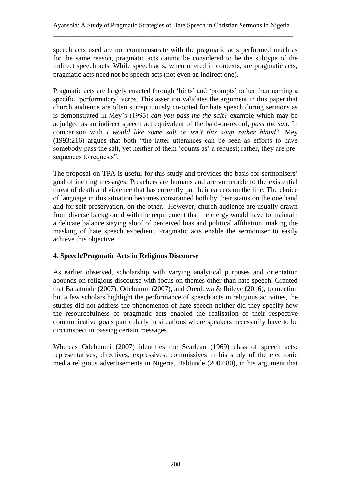speech acts used are not commensurate with the pragmatic acts performed much as for the same reason, pragmatic acts cannot be considered to be the subtype of the indirect speech acts. While speech acts, when uttered in contexts, are pragmatic acts, pragmatic acts need not be speech acts (not even an indirect one).

Pragmatic acts are largely enacted through 'hints' and 'prompts' rather than naming a specific 'performatory' verbs. This assertion validates the argument in this paper that church audience are often surreptitiously co-opted for hate speech during sermons as is demonstrated in Mey's (1993) *can you pass me the salt?* example which may be adjudged as an indirect speech act equivalent of the bald-on-record, *pass the salt*. In comparison with *I would like some salt* or *isn't this soup rather bland?,* Mey (1993:216) argues that both "the latter utterances can be seen as efforts to have somebody pass the salt, yet neither of them 'counts as' a request; rather, they are presequences to requests".

The proposal on TPA is useful for this study and provides the basis for sermonisers' goal of inciting messages. Preachers are humans and are vulnerable to the existential threat of death and violence that has currently put their careers on the line. The choice of language in this situation becomes constrained both by their status on the one hand and for self-preservation, on the other. However, church audience are usually drawn from diverse background with the requirement that the clergy would have to maintain a delicate balance staying aloof of perceived bias and political affiliation, making the masking of hate speech expedient. Pragmatic acts enable the sermoniser to easily achieve this objective.

## **4. Speech/Pragmatic Acts in Religious Discourse**

As earlier observed, scholarship with varying analytical purposes and orientation abounds on religious discourse with focus on themes other than hate speech. Granted that Babatunde (2007), Odebunmi (2007), and Oreoluwa & Ibileye (2016), to mention but a few scholars highlight the performance of speech acts in religious activities, the studies did not address the phenomenon of hate speech neither did they specify how the resourcefulness of pragmatic acts enabled the realisation of their respective communicative goals particularly in situations where speakers necessarily have to be circumspect in passing certain messages.

Whereas Odebunmi (2007) identifies the Searlean (1969) class of speech acts: representatives, directives, expressives, commissives in his study of the electronic media religious advertisements in Nigeria, Babtunde (2007:80), in his argument that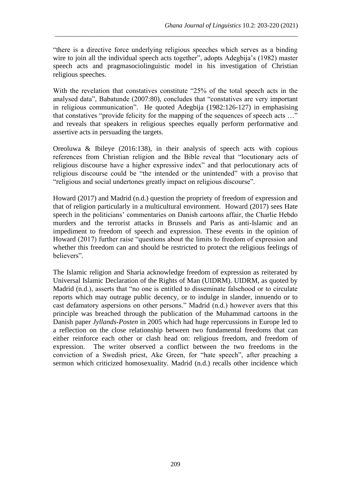"there is a directive force underlying religious speeches which serves as a binding wire to join all the individual speech acts together", adopts Adegbija's (1982) master speech acts and pragmasociolinguistic model in his investigation of Christian religious speeches.

\_\_\_\_\_\_\_\_\_\_\_\_\_\_\_\_\_\_\_\_\_\_\_\_\_\_\_\_\_\_\_\_\_\_\_\_\_\_\_\_\_\_\_\_\_\_\_\_\_\_\_\_\_\_\_\_\_\_\_\_\_\_\_\_\_\_\_\_\_\_\_\_\_\_\_

With the revelation that constatives constitute "25% of the total speech acts in the analysed data", Babatunde (2007:80), concludes that "constatives are very important in religious communication". He quoted Adegbija (1982:126-127) in emphasising that constatives "provide felicity for the mapping of the sequences of speech acts …" and reveals that speakers in religious speeches equally perform performative and assertive acts in persuading the targets.

Oreoluwa & Ibileye (2016:138), in their analysis of speech acts with copious references from Christian religion and the Bible reveal that "locutionary acts of religious discourse have a higher expressive index" and that perlocutionary acts of religious discourse could be "the intended or the unintended" with a proviso that "religious and social undertones greatly impact on religious discourse".

Howard (2017) and Madrid (n.d.) question the propriety of freedom of expression and that of religion particularly in a multicultural environment. Howard (2017) sees Hate speech in the politicians' commentaries on Danish cartoons affair, the Charlie Hebdo murders and the terrorist attacks in Brussels and Paris as anti-Islamic and an impediment to freedom of speech and expression. These events in the opinion of Howard (2017) further raise "questions about the limits to freedom of expression and whether this freedom can and should be restricted to protect the religious feelings of believers".

The Islamic religion and Sharia acknowledge freedom of expression as reiterated by Universal Islamic Declaration of the Rights of Man (UIDRM). UIDRM, as quoted by Madrid (n.d.), asserts that "no one is entitled to disseminate falsehood or to circulate reports which may outrage public decency, or to indulge in slander, innuendo or to cast defamatory aspersions on other persons." Madrid (n.d.) however avers that this principle was breached through the publication of the Muhammad cartoons in the Danish paper *Jyllands-Posten* in 2005 which had huge repercussions in Europe led to a reflection on the close relationship between two fundamental freedoms that can either reinforce each other or clash head on: religious freedom, and freedom of expression. The writer observed a conflict between the two freedoms in the conviction of a Swedish priest, Ake Green, for "hate speech", after preaching a sermon which criticized homosexuality. Madrid (n.d.) recalls other incidence which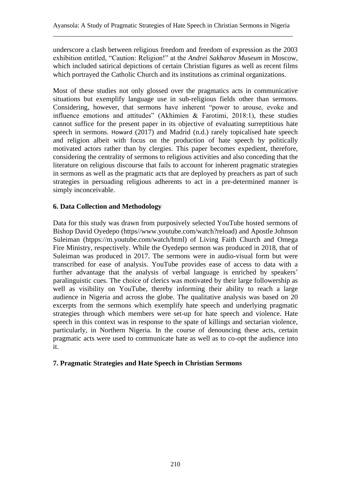underscore a clash between religious freedom and freedom of expression as the 2003 exhibition entitled, "Caution: Religion!" at the *Andrei Sakharov Museum* in Moscow, which included satirical depictions of certain Christian figures as well as recent films which portrayed the Catholic Church and its institutions as criminal organizations.

Most of these studies not only glossed over the pragmatics acts in communicative situations but exemplify language use in sub-religious fields other than sermons. Considering, however, that sermons have inherent "power to arouse, evoke and influence emotions and attitudes" (Akhimien & Farotimi, 2018:1), these studies cannot suffice for the present paper in its objective of evaluating surreptitious hate speech in sermons. Howard (2017) and Madrid (n.d.) rarely topicalised hate speech and religion albeit with focus on the production of hate speech by politically motivated actors rather than by clergies. This paper becomes expedient, therefore, considering the centrality of sermons to religious activities and also conceding that the literature on religious discourse that fails to account for inherent pragmatic strategies in sermons as well as the pragmatic acts that are deployed by preachers as part of such strategies in persuading religious adherents to act in a pre-determined manner is simply inconceivable.

## **6. Data Collection and Methodology**

Data for this study was drawn from purposively selected YouTube hosted sermons of Bishop David Oyedepo (https//www.youtube.com/watch?reload) and Apostle Johnson Suleiman (htpps://m.youtube.com/watch/html) of Living Faith Church and Omega Fire Ministry, respectively. While the Oyedepo sermon was produced in 2018, that of Suleiman was produced in 2017. The sermons were in audio-visual form but were transcribed for ease of analysis. YouTube provides ease of access to data with a further advantage that the analysis of verbal language is enriched by speakers' paralinguistic cues. The choice of clerics was motivated by their large followership as well as visibility on YouTube, thereby informing their ability to reach a large audience in Nigeria and across the globe. The qualitative analysis was based on 20 excerpts from the sermons which exemplify hate speech and underlying pragmatic strategies through which members were set-up for hate speech and violence. Hate speech in this context was in response to the spate of killings and sectarian violence, particularly, in Northern Nigeria. In the course of denouncing these acts, certain pragmatic acts were used to communicate hate as well as to co-opt the audience into it.

## **7. Pragmatic Strategies and Hate Speech in Christian Sermons**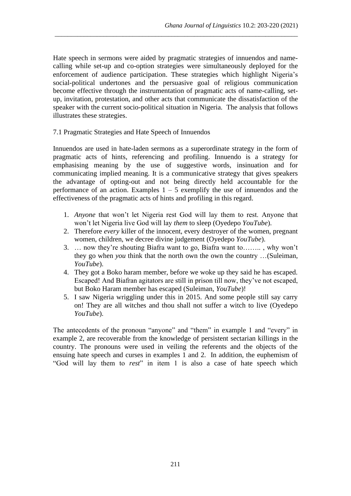Hate speech in sermons were aided by pragmatic strategies of innuendos and namecalling while set-up and co-option strategies were simultaneously deployed for the enforcement of audience participation. These strategies which highlight Nigeria's social-political undertones and the persuasive goal of religious communication become effective through the instrumentation of pragmatic acts of name-calling, setup, invitation, protestation, and other acts that communicate the dissatisfaction of the speaker with the current socio-political situation in Nigeria. The analysis that follows illustrates these strategies.

\_\_\_\_\_\_\_\_\_\_\_\_\_\_\_\_\_\_\_\_\_\_\_\_\_\_\_\_\_\_\_\_\_\_\_\_\_\_\_\_\_\_\_\_\_\_\_\_\_\_\_\_\_\_\_\_\_\_\_\_\_\_\_\_\_\_\_\_\_\_\_\_\_\_\_

7.1 Pragmatic Strategies and Hate Speech of Innuendos

Innuendos are used in hate-laden sermons as a superordinate strategy in the form of pragmatic acts of hints, referencing and profiling. Innuendo is a strategy for emphasising meaning by the use of suggestive words, insinuation and for communicating implied meaning. It is a communicative strategy that gives speakers the advantage of opting-out and not being directly held accountable for the performance of an action. Examples  $1 - 5$  exemplify the use of innuendos and the effectiveness of the pragmatic acts of hints and profiling in this regard.

- 1. *Anyone* that won't let Nigeria rest God will lay them to rest. Anyone that won't let Nigeria live God will lay *them* to sleep (Oyedepo *YouTube*).
- 2. Therefore *every* killer of the innocent, every destroyer of the women, pregnant women, children, we decree divine judgement (Oyedepo *YouTube*).
- 3. … now they're shouting Biafra want to go, Biafra want to…….. , why won't they go when *you* think that the north own the own the country …(Suleiman, *YouTube*).
- 4. They got a Boko haram member, before we woke up they said he has escaped. Escaped! And Biafran agitators are still in prison till now, they've not escaped, but Boko Haram member has escaped (Suleiman, *YouTube*)!
- 5. I saw Nigeria wriggling under this in 2015. And some people still say carry on! They are all witches and thou shall not suffer a witch to live (Oyedepo *YouTube*).

The antecedents of the pronoun "anyone" and "them" in example 1 and "every" in example 2, are recoverable from the knowledge of persistent sectarian killings in the country. The pronouns were used in veiling the referents and the objects of the ensuing hate speech and curses in examples 1 and 2. In addition, the euphemism of "God will lay them to *rest*" in item 1 is also a case of hate speech which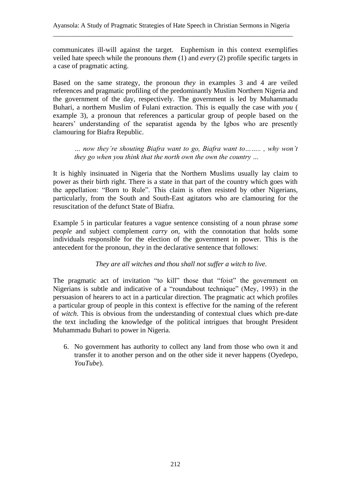communicates ill-will against the target. Euphemism in this context exemplifies veiled hate speech while the pronouns *them* (1) and *every* (2) profile specific targets in a case of pragmatic acting.

Based on the same strategy, the pronoun *they* in examples 3 and 4 are veiled references and pragmatic profiling of the predominantly Muslim Northern Nigeria and the government of the day, respectively. The government is led by Muhammadu Buhari, a northern Muslim of Fulani extraction. This is equally the case with *you* ( example 3), a pronoun that references a particular group of people based on the hearers' understanding of the separatist agenda by the Igbos who are presently clamouring for Biafra Republic.

*… now they're shouting Biafra want to go, Biafra want to…….. , why won't they go when you think that the north own the own the country …*

It is highly insinuated in Nigeria that the Northern Muslims usually lay claim to power as their birth right. There is a state in that part of the country which goes with the appellation: "Born to Rule". This claim is often resisted by other Nigerians, particularly, from the South and South-East agitators who are clamouring for the resuscitation of the defunct State of Biafra.

Example 5 in particular features a vague sentence consisting of a noun phrase *some people* and subject complement *carry on*, with the connotation that holds some individuals responsible for the election of the government in power. This is the antecedent for the pronoun, *they* in the declarative sentence that follows:

## *They are all witches and thou shall not suffer a witch to live.*

The pragmatic act of invitation "to kill" those that "foist" the government on Nigerians is subtle and indicative of a "roundabout technique" (Mey, 1993) in the persuasion of hearers to act in a particular direction. The pragmatic act which profiles a particular group of people in this context is effective for the naming of the referent of *witch*. This is obvious from the understanding of contextual clues which pre-date the text including the knowledge of the political intrigues that brought President Muhammadu Buhari to power in Nigeria.

6. No government has authority to collect any land from those who own it and transfer it to another person and on the other side it never happens (Oyedepo, *YouTube*).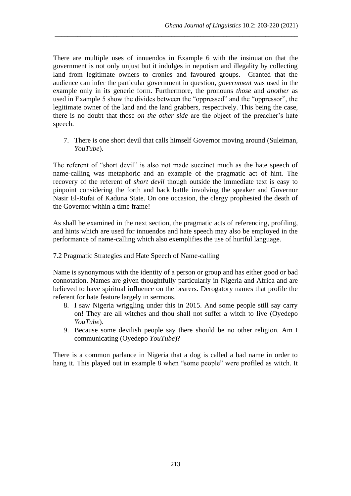There are multiple uses of innuendos in Example 6 with the insinuation that the government is not only unjust but it indulges in nepotism and illegality by collecting land from legitimate owners to cronies and favoured groups. Granted that the audience can infer the particular government in question, *government* was used in the example only in its generic form. Furthermore, the pronouns *those* and *another* as used in Example 5 show the divides between the "oppressed" and the "oppressor", the legitimate owner of the land and the land grabbers, respectively. This being the case, there is no doubt that those *on the other side* are the object of the preacher's hate speech.

\_\_\_\_\_\_\_\_\_\_\_\_\_\_\_\_\_\_\_\_\_\_\_\_\_\_\_\_\_\_\_\_\_\_\_\_\_\_\_\_\_\_\_\_\_\_\_\_\_\_\_\_\_\_\_\_\_\_\_\_\_\_\_\_\_\_\_\_\_\_\_\_\_\_\_

7. There is one short devil that calls himself Governor moving around (Suleiman, *YouTube*).

The referent of "short devil" is also not made succinct much as the hate speech of name-calling was metaphoric and an example of the pragmatic act of hint. The recovery of the referent of *short devil* though outside the immediate text is easy to pinpoint considering the forth and back battle involving the speaker and Governor Nasir El-Rufai of Kaduna State. On one occasion, the clergy prophesied the death of the Governor within a time frame!

As shall be examined in the next section, the pragmatic acts of referencing, profiling, and hints which are used for innuendos and hate speech may also be employed in the performance of name-calling which also exemplifies the use of hurtful language.

## 7.2 Pragmatic Strategies and Hate Speech of Name-calling

Name is synonymous with the identity of a person or group and has either good or bad connotation. Names are given thoughtfully particularly in Nigeria and Africa and are believed to have spiritual influence on the bearers. Derogatory names that profile the referent for hate feature largely in sermons.

- 8. I saw Nigeria wriggling under this in 2015. And some people still say carry on! They are all witches and thou shall not suffer a witch to live (Oyedepo *YouTube*).
- 9. Because some devilish people say there should be no other religion. Am I communicating (Oyedepo *YouTube*)?

There is a common parlance in Nigeria that a dog is called a bad name in order to hang it*.* This played out in example 8 when "some people" were profiled as witch. It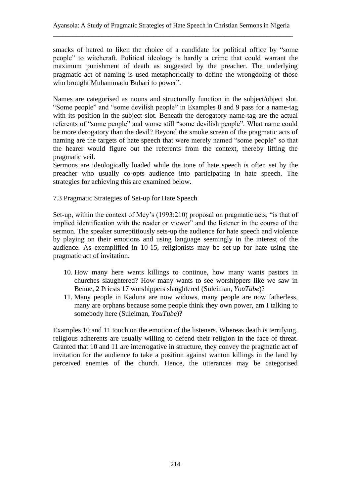smacks of hatred to liken the choice of a candidate for political office by "some people" to witchcraft. Political ideology is hardly a crime that could warrant the maximum punishment of death as suggested by the preacher. The underlying pragmatic act of naming is used metaphorically to define the wrongdoing of those who brought Muhammadu Buhari to power".

Names are categorised as nouns and structurally function in the subject/object slot. "Some people" and "some devilish people" in Examples 8 and 9 pass for a name-tag with its position in the subject slot. Beneath the derogatory name-tag are the actual referents of "some people" and worse still "some devilish people". What name could be more derogatory than the devil? Beyond the smoke screen of the pragmatic acts of naming are the targets of hate speech that were merely named "some people" so that the hearer would figure out the referents from the context, thereby lifting the pragmatic veil.

Sermons are ideologically loaded while the tone of hate speech is often set by the preacher who usually co-opts audience into participating in hate speech. The strategies for achieving this are examined below.

7.3 Pragmatic Strategies of Set-up for Hate Speech

Set-up, within the context of Mey's (1993:210) proposal on pragmatic acts, "is that of implied identification with the reader or viewer" and the listener in the course of the sermon. The speaker surreptitiously sets-up the audience for hate speech and violence by playing on their emotions and using language seemingly in the interest of the audience. As exemplified in 10-15, religionists may be set-up for hate using the pragmatic act of invitation.

- 10. How many here wants killings to continue, how many wants pastors in churches slaughtered? How many wants to see worshippers like we saw in Benue, 2 Priests 17 worshippers slaughtered (Suleiman, *YouTube*)?
- 11. Many people in Kaduna are now widows, many people are now fatherless, many are orphans because some people think they own power, am I talking to somebody here (Suleiman, *YouTube*)?

Examples 10 and 11 touch on the emotion of the listeners. Whereas death is terrifying, religious adherents are usually willing to defend their religion in the face of threat. Granted that 10 and 11 are interrogative in structure, they convey the pragmatic act of invitation for the audience to take a position against wanton killings in the land by perceived enemies of the church. Hence, the utterances may be categorised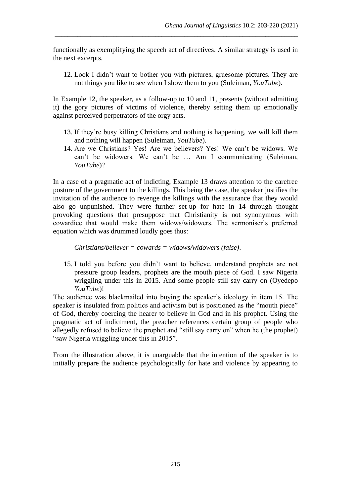functionally as exemplifying the speech act of directives. A similar strategy is used in the next excerpts.

\_\_\_\_\_\_\_\_\_\_\_\_\_\_\_\_\_\_\_\_\_\_\_\_\_\_\_\_\_\_\_\_\_\_\_\_\_\_\_\_\_\_\_\_\_\_\_\_\_\_\_\_\_\_\_\_\_\_\_\_\_\_\_\_\_\_\_\_\_\_\_\_\_\_\_

12. Look I didn't want to bother you with pictures, gruesome pictures. They are not things you like to see when I show them to you (Suleiman, *YouTube*).

In Example 12, the speaker, as a follow-up to 10 and 11, presents (without admitting it) the gory pictures of victims of violence, thereby setting them up emotionally against perceived perpetrators of the orgy acts.

- 13. If they're busy killing Christians and nothing is happening, we will kill them and nothing will happen (Suleiman, *YouTube*).
- 14. Are we Christians? Yes! Are we believers? Yes! We can't be widows. We can't be widowers. We can't be … Am I communicating (Suleiman, *YouTube*)?

In a case of a pragmatic act of indicting, Example 13 draws attention to the carefree posture of the government to the killings. This being the case, the speaker justifies the invitation of the audience to revenge the killings with the assurance that they would also go unpunished. They were further set-up for hate in 14 through thought provoking questions that presuppose that Christianity is not synonymous with cowardice that would make them widows/widowers. The sermoniser's preferred equation which was drummed loudly goes thus:

*Christians/believer = cowards = widows/widowers (false)*.

15. I told you before you didn't want to believe, understand prophets are not pressure group leaders, prophets are the mouth piece of God. I saw Nigeria wriggling under this in 2015. And some people still say carry on (Oyedepo *YouTube*)!

The audience was blackmailed into buying the speaker's ideology in item 15. The speaker is insulated from politics and activism but is positioned as the "mouth piece" of God, thereby coercing the hearer to believe in God and in his prophet. Using the pragmatic act of indictment, the preacher references certain group of people who allegedly refused to believe the prophet and "still say carry on" when he (the prophet) "saw Nigeria wriggling under this in 2015".

From the illustration above, it is unarguable that the intention of the speaker is to initially prepare the audience psychologically for hate and violence by appearing to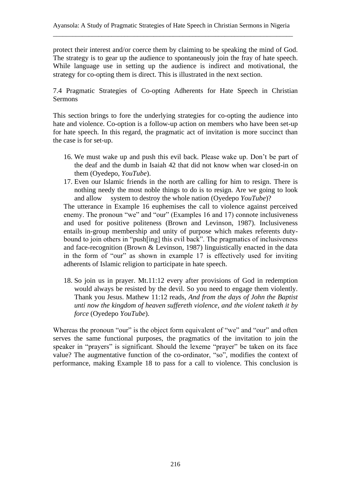protect their interest and/or coerce them by claiming to be speaking the mind of God. The strategy is to gear up the audience to spontaneously join the fray of hate speech. While language use in setting up the audience is indirect and motivational, the strategy for co-opting them is direct. This is illustrated in the next section.

7.4 Pragmatic Strategies of Co-opting Adherents for Hate Speech in Christian Sermons

This section brings to fore the underlying strategies for co-opting the audience into hate and violence. Co-option is a follow-up action on members who have been set-up for hate speech. In this regard, the pragmatic act of invitation is more succinct than the case is for set-up.

- 16. We must wake up and push this evil back. Please wake up. Don't be part of the deaf and the dumb in Isaiah 42 that did not know when war closed-in on them (Oyedepo, *YouTube*).
- 17. Even our Islamic friends in the north are calling for him to resign. There is nothing needy the most noble things to do is to resign. Are we going to look and allow system to destroy the whole nation (Oyedepo *YouTube*)?

The utterance in Example 16 euphemises the call to violence against perceived enemy. The pronoun "we" and "our" (Examples 16 and 17) connote inclusiveness and used for positive politeness (Brown and Levinson, 1987). Inclusiveness entails in-group membership and unity of purpose which makes referents dutybound to join others in "push[ing] this evil back". The pragmatics of inclusiveness and face-recognition (Brown & Levinson, 1987) linguistically enacted in the data in the form of "our" as shown in example 17 is effectively used for inviting adherents of Islamic religion to participate in hate speech.

18. So join us in prayer. Mt.11:12 every after provisions of God in redemption would always be resisted by the devil. So you need to engage them violently. Thank you Jesus. Mathew 11:12 reads, *And from the days of John the Baptist unti now the kingdom of heaven suffereth violence, and the violent taketh it by force* (Oyedepo *YouTube*).

Whereas the pronoun "our" is the object form equivalent of "we" and "our" and often serves the same functional purposes, the pragmatics of the invitation to join the speaker in "prayers" is significant. Should the lexeme "prayer" be taken on its face value? The augmentative function of the co-ordinator, "so", modifies the context of performance, making Example 18 to pass for a call to violence. This conclusion is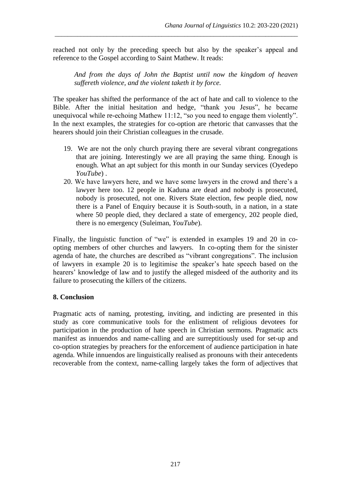reached not only by the preceding speech but also by the speaker's appeal and reference to the Gospel according to Saint Mathew. It reads:

\_\_\_\_\_\_\_\_\_\_\_\_\_\_\_\_\_\_\_\_\_\_\_\_\_\_\_\_\_\_\_\_\_\_\_\_\_\_\_\_\_\_\_\_\_\_\_\_\_\_\_\_\_\_\_\_\_\_\_\_\_\_\_\_\_\_\_\_\_\_\_\_\_\_\_

*And from the days of John the Baptist until now the kingdom of heaven suffereth violence, and the violent taketh it by force.*

The speaker has shifted the performance of the act of hate and call to violence to the Bible. After the initial hesitation and hedge, "thank you Jesus", he became unequivocal while re-echoing Mathew 11:12, "so you need to engage them violently". In the next examples, the strategies for co-option are rhetoric that canvasses that the hearers should join their Christian colleagues in the crusade.

- 19. We are not the only church praying there are several vibrant congregations that are joining. Interestingly we are all praying the same thing. Enough is enough. What an apt subject for this month in our Sunday services (Oyedepo *YouTube*) .
- 20. We have lawyers here, and we have some lawyers in the crowd and there's a lawyer here too. 12 people in Kaduna are dead and nobody is prosecuted, nobody is prosecuted, not one. Rivers State election, few people died, now there is a Panel of Enquiry because it is South-south, in a nation, in a state where 50 people died, they declared a state of emergency, 202 people died, there is no emergency (Suleiman, *YouTube*).

Finally, the linguistic function of "we" is extended in examples 19 and 20 in coopting members of other churches and lawyers. In co-opting them for the sinister agenda of hate, the churches are described as "vibrant congregations". The inclusion of lawyers in example 20 is to legitimise the speaker's hate speech based on the hearers' knowledge of law and to justify the alleged misdeed of the authority and its failure to prosecuting the killers of the citizens.

## **8. Conclusion**

Pragmatic acts of naming, protesting, inviting, and indicting are presented in this study as core communicative tools for the enlistment of religious devotees for participation in the production of hate speech in Christian sermons. Pragmatic acts manifest as innuendos and name-calling and are surreptitiously used for set-up and co-option strategies by preachers for the enforcement of audience participation in hate agenda. While innuendos are linguistically realised as pronouns with their antecedents recoverable from the context, name-calling largely takes the form of adjectives that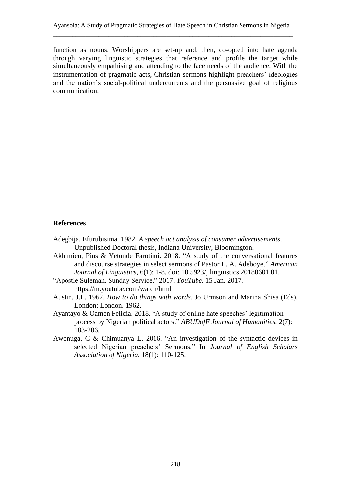function as nouns. Worshippers are set-up and, then, co-opted into hate agenda through varying linguistic strategies that reference and profile the target while simultaneously empathising and attending to the face needs of the audience. With the instrumentation of pragmatic acts, Christian sermons highlight preachers' ideologies and the nation's social-political undercurrents and the persuasive goal of religious communication.

#### **References**

- Adegbija, Efurubisima. 1982. *A speech act analysis of consumer advertisements*. Unpublished Doctoral thesis, Indiana University, Bloomington.
- Akhimien, Pius & Yetunde Farotimi. 2018. "A study of the conversational features and discourse strategies in select sermons of Pastor E. A. Adeboye." *American Journal of Linguistics*, 6(1): 1-8. doi: 10.5923/j.linguistics.20180601.01.
- "Apostle Suleman. Sunday Service." 2017. *YouTube.* 15 Jan. 2017. https://m.youtube.com/watch/html
- Austin, J.L. 1962. *How to do things with words*. Jo Urmson and Marina Shisa (Eds). London: London. 1962.
- Ayantayo & Oamen Felicia. 2018. "A study of online hate speeches' legitimation process by Nigerian political actors." *ABUDofF Journal of Humanities.* 2(7): 183-206.
- Awonuga, C & Chimuanya L. 2016. "An investigation of the syntactic devices in selected Nigerian preachers' Sermons." In *Journal of English Scholars Association of Nigeria.* 18(1): 110-125.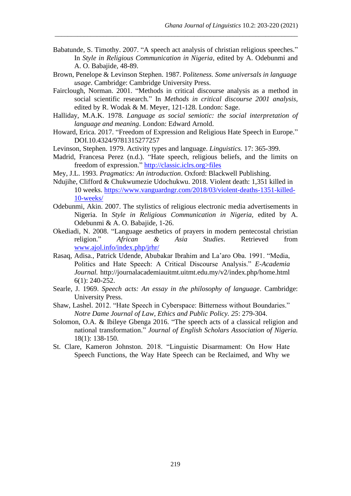Babatunde, S. Timothy. 2007. "A speech act analysis of christian religious speeches." In *Style in Religious Communication in Nigeria*, edited by A. Odebunmi and A. O. Babajide, 48-89.

\_\_\_\_\_\_\_\_\_\_\_\_\_\_\_\_\_\_\_\_\_\_\_\_\_\_\_\_\_\_\_\_\_\_\_\_\_\_\_\_\_\_\_\_\_\_\_\_\_\_\_\_\_\_\_\_\_\_\_\_\_\_\_\_\_\_\_\_\_\_\_\_\_\_\_

- Brown, Penelope & Levinson Stephen. 1987. P*oliteness. Some universals in language usage*. Cambridge: Cambridge University Press.
- Fairclough, Norman. 2001. "Methods in critical discourse analysis as a method in social scientific research." In *Methods in critical discourse 2001 analysis,*  edited by R. Wodak & M. Meyer, 121-128. London: Sage.
- Halliday, M.A.K. 1978. *Language as social semiotic: the social interpretation of language and meaning*. London: Edward Arnold.
- Howard, Erica. 2017. "Freedom of Expression and Religious Hate Speech in Europe." DOI.10.4324/9781315277257
- Levinson, Stephen. 1979. Activity types and language. *Linguistics.* 17: 365-399.
- Madrid, Francesa Perez (n.d.). "Hate speech, religious beliefs, and the limits on freedom of expression." http://classic.iclrs.org>files
- Mey, J.L. 1993. *Pragmatics: An introduction*. Oxford: Blackwell Publishing.
- Ndujihe, Clifford & Chukwumezie Udochukwu. 2018. Violent death: 1,351 killed in 10 weeks. [https://www.vanguardngr.com/2018/03/violent-deaths-1351-killed-](https://www.vanguardngr.com/2018/03/violent-deaths-1351-killed-10-weeks/)[10-weeks/](https://www.vanguardngr.com/2018/03/violent-deaths-1351-killed-10-weeks/)
- Odebunmi, Akin. 2007. The stylistics of religious electronic media advertisements in Nigeria. In *Style in Religious Communication in Nigeria*, edited by A. Odebunmi & A. O. Babajide, 1-26.
- Okediadi, N. 2008. "Language aesthetics of prayers in modern pentecostal christian religion." *African & Asia Studies*. Retrieved from [www.ajol.info/index.php/jrhr/](http://www.ajol.info/index.php/jrhr/)
- Rasaq, Adisa., Patrick Udende, Abubakar Ibrahim and La'aro Oba. 1991. "Media, Politics and Hate Speech: A Critical Discourse Analysis." *E-Academia Journal.* http://journalacademiauitmt.uitmt.edu.my/v2/index.php/home.html 6(1): 240-252.
- Searle, J. 1969. *Speech acts: An essay in the philosophy of language*. Cambridge: University Press.
- Shaw, Lashel. 2012. "Hate Speech in Cyberspace: Bitterness without Boundaries." *Notre Dame Journal of Law, Ethics and Public Policy. 25*: 279-304.
- Solomon, O.A. & Ibileye Gbenga 2016. "The speech acts of a classical religion and national transformation." *Journal of English Scholars Association of Nigeria.* 18(1): 138-150.
- St. Clare, Kameron Johnston. 2018. "Linguistic Disarmament: On How Hate Speech Functions, the Way Hate Speech can be Reclaimed, and Why we